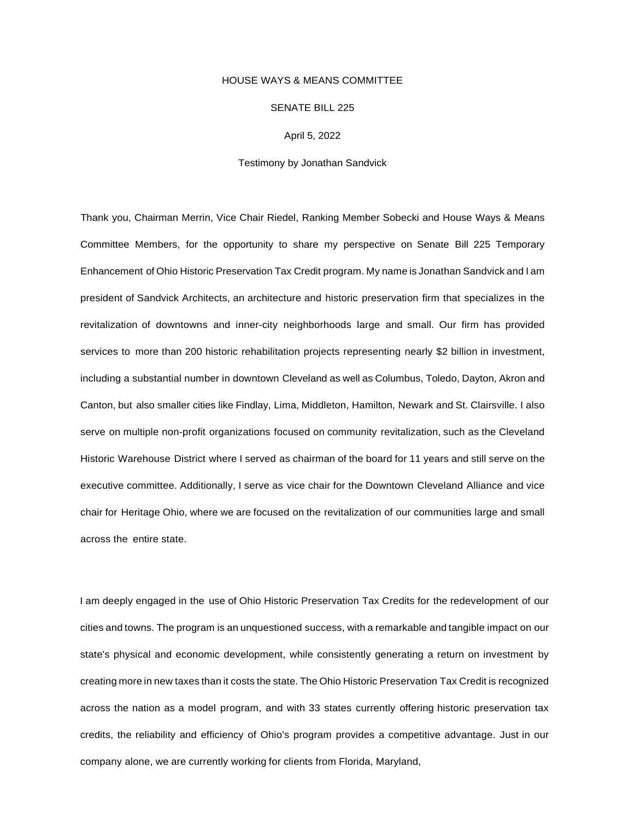## HOUSE WAYS & MEANS COMMITTEE

## SENATE BILL 225

April 5, 2022

## Testimony by Jonathan Sandvick

Thank you, Chairman Merrin, Vice Chair Riedel, Ranking Member Sobecki and House Ways & Means Committee Members, for the opportunity to share my perspective on Senate Bill 225 Temporary Enhancement of Ohio Historic Preservation Tax Credit program. My name is Jonathan Sandvick and I am president of Sandvick Architects, an architecture and historic preservation firm that specializes in the revitalization of downtowns and inner-city neighborhoods large and small. Our firm has provided services to more than 200 historic rehabilitation projects representing nearly \$2 billion in investment, including a substantial number in downtown Cleveland as well as Columbus, Toledo, Dayton, Akron and Canton, but also smaller cities like Findlay, Lima, Middleton, Hamilton, Newark and St. Clairsville. I also serve on multiple non-profit organizations focused on community revitalization, such as the Cleveland Historic Warehouse District where I served as chairman of the board for 11 years and still serve on the executive committee. Additionally, I serve as vice chair for the Downtown Cleveland Alliance and vice chair for Heritage Ohio, where we are focused on the revitalization of our communities large and small across the entire state.

I am deeply engaged in the use of Ohio Historic Preservation Tax Credits for the redevelopment of our cities and towns. The program is an unquestioned success, with a remarkable and tangible impact on our state's physical and economic development, while consistently generating a return on investment by creating more in new taxes than it costs the state. The Ohio Historic Preservation Tax Credit is recognized across the nation as a model program, and with 33 states currently offering historic preservation tax credits, the reliability and efficiency of Ohio's program provides a competitive advantage. Just in our company alone, we are currently working for clients from Florida, Maryland,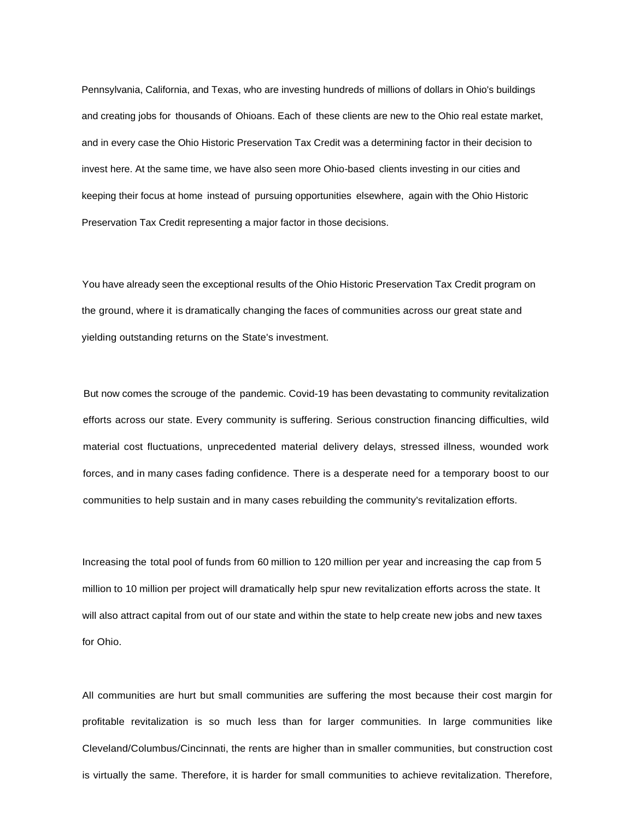Pennsylvania, California, and Texas, who are investing hundreds of millions of dollars in Ohio's buildings and creating jobs for thousands of Ohioans. Each of these clients are new to the Ohio real estate market, and in every case the Ohio Historic Preservation Tax Credit was a determining factor in their decision to invest here. At the same time, we have also seen more Ohio-based clients investing in our cities and keeping their focus at home instead of pursuing opportunities elsewhere, again with the Ohio Historic Preservation Tax Credit representing a major factor in those decisions.

You have already seen the exceptional results of the Ohio Historic Preservation Tax Credit program on the ground, where it is dramatically changing the faces of communities across our great state and yielding outstanding returns on the State's investment.

But now comes the scrouge of the pandemic. Covid-19 has been devastating to community revitalization efforts across our state. Every community is suffering. Serious construction financing difficulties, wild material cost fluctuations, unprecedented material delivery delays, stressed illness, wounded work forces, and in many cases fading confidence. There is a desperate need for a temporary boost to our communities to help sustain and in many cases rebuilding the community's revitalization efforts.

Increasing the total pool of funds from 60 million to 120 million per year and increasing the cap from 5 million to 10 million per project will dramatically help spur new revitalization efforts across the state. It will also attract capital from out of our state and within the state to help create new jobs and new taxes for Ohio.

All communities are hurt but small communities are suffering the most because their cost margin for profitable revitalization is so much less than for larger communities. In large communities like Cleveland/Columbus/Cincinnati, the rents are higher than in smaller communities, but construction cost is virtually the same. Therefore, it is harder for small communities to achieve revitalization. Therefore,